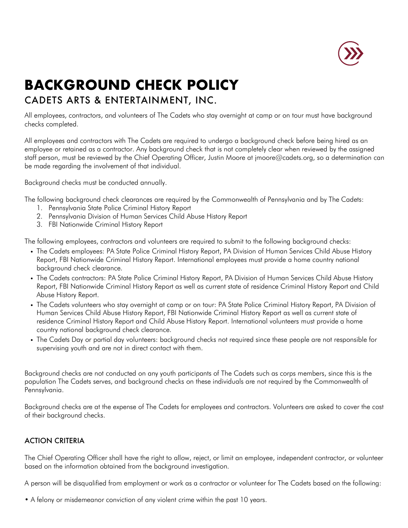

## **BACKGROUND CHECK POLICY**

## CADETS ARTS & ENTERTAINMENT, INC.

All employees, contractors, and volunteers of The Cadets who stay overnight at camp or on tour must have background checks completed.

All employees and contractors with The Cadets are required to undergo a background check before being hired as an employee or retained as a contractor. Any background check that is not completely clear when reviewed by the assigned staff person, must be reviewed by the Chief Operating Officer, Justin Moore at jmoore@cadets.org, so a determination can be made regarding the involvement of that individual.

Background checks must be conducted annually.

The following background check clearances are required by the Commonwealth of Pennsylvania and by The Cadets:

- 1. Pennsylvania State Police Criminal History Report
- 2. Pennsylvania Division of Human Services Child Abuse History Report
- 3. FBI Nationwide Criminal History Report

The following employees, contractors and volunteers are required to submit to the following background checks:

- ! The Cadets employees: PA State Police Criminal History Report, PA Division of Human Services Child Abuse History Report, FBI Nationwide Criminal History Report. International employees must provide a home country national background check clearance.
- ! The Cadets contractors: PA State Police Criminal History Report, PA Division of Human Services Child Abuse History Report, FBI Nationwide Criminal History Report as well as current state of residence Criminal History Report and Child Abuse History Report.
- . The Cadets volunteers who stay overnight at camp or on tour: PA State Police Criminal History Report, PA Division of Human Services Child Abuse History Report, FBI Nationwide Criminal History Report as well as current state of residence Criminal History Report and Child Abuse History Report. International volunteers must provide a home country national background check clearance.
- ! The Cadets Day or partial day volunteers: background checks not required since these people are not responsible for supervising youth and are not in direct contact with them.

Background checks are not conducted on any youth participants of The Cadets such as corps members, since this is the population The Cadets serves, and background checks on these individuals are not required by the Commonwealth of Pennsylvania.

Background checks are at the expense of The Cadets for employees and contractors. Volunteers are asked to cover the cost of their background checks.

## ACTION CRITERIA

The Chief Operating Officer shall have the right to allow, reject, or limit an employee, independent contractor, or volunteer based on the information obtained from the background investigation.

A person will be disqualified from employment or work as a contractor or volunteer for The Cadets based on the following:

• A felony or misdemeanor conviction of any violent crime within the past 10 years.